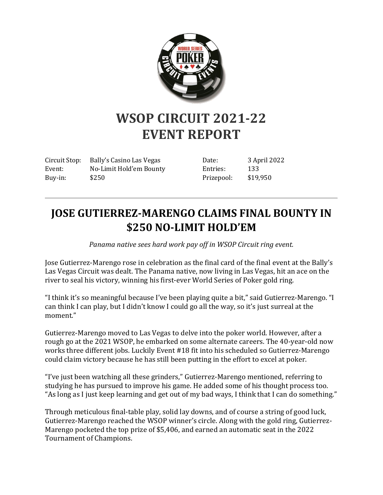

## **WSOP CIRCUIT 2021-22 EVENT REPORT**

Circuit Stop: Bally's Casino Las Vegas Event: No-Limit Hold'em Bounty Buy-in: \$250

Date: 3 April 2022 Entries: 133 Prizepool: \$19,950

## **JOSE GUTIERREZ-MARENGO CLAIMS FINAL BOUNTY IN \$250 NO-LIMIT HOLD'EM**

*Panama native sees hard work pay off in WSOP Circuit ring event.*

Jose Gutierrez-Marengo rose in celebration as the final card of the final event at the Bally's Las Vegas Circuit was dealt. The Panama native, now living in Las Vegas, hit an ace on the river to seal his victory, winning his first-ever World Series of Poker gold ring.

"I think it's so meaningful because I've been playing quite a bit," said Gutierrez-Marengo. "I can think I can play, but I didn't know I could go all the way, so it's just surreal at the moment."

Gutierrez-Marengo moved to Las Vegas to delve into the poker world. However, after a rough go at the 2021 WSOP, he embarked on some alternate careers. The 40-year-old now works three different jobs. Luckily Event #18 fit into his scheduled so Gutierrez-Marengo could claim victory because he has still been putting in the effort to excel at poker.

"I've just been watching all these grinders," Gutierrez-Marengo mentioned, referring to studying he has pursued to improve his game. He added some of his thought process too. "As long as I just keep learning and get out of my bad ways, I think that I can do something."

Through meticulous final-table play, solid lay downs, and of course a string of good luck, Gutierrez-Marengo reached the WSOP winner's circle. Along with the gold ring, Gutierrez-Marengo pocketed the top prize of \$5,406, and earned an automatic seat in the 2022 Tournament of Champions.